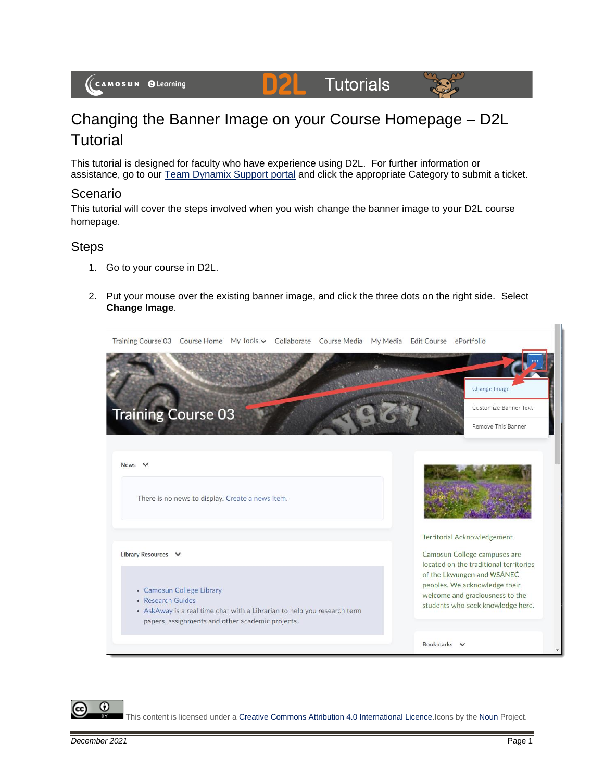#### **Tutorials** DZL



# Changing the Banner Image on your Course Homepage – D2L **Tutorial**

This tutorial is designed for faculty who have experience using D2L. For further information or assistance, go to our [Team Dynamix Support portal](https://camosun.teamdynamix.com/TDClient/67/Portal/Requests/ServiceCatalog?CategoryID=523) and click the appropriate Category to submit a ticket.

#### Scenario

This tutorial will cover the steps involved when you wish change the banner image to your D2L course homepage.

### **Steps**

- 1. Go to your course in D2L.
- 2. Put your mouse over the existing banner image, and click the three dots on the right side. Select **Change Image**.



This content is licensed under [a Creative Commons Attribution 4.0 International Licence.I](https://creativecommons.org/licenses/by/4.0/)cons by the [Noun](https://creativecommons.org/website-icons/) Project.